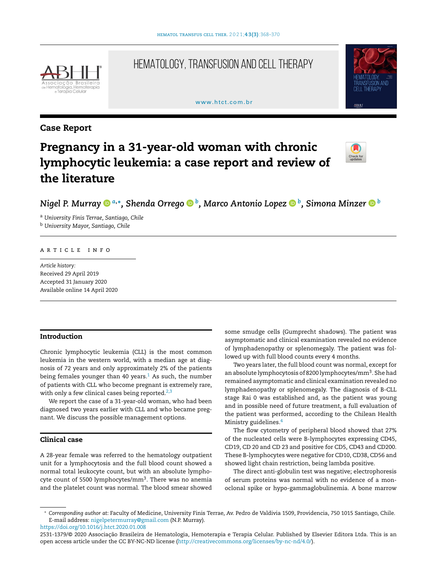

# HEMATOLOGY, TRANSFUSION AND CELL THERAPY

#### [www.htct.com.br](http://www.htct.com.br)



# Case Report

# Pregnancy in a 31-year-old woman with chronic lymphocytic leukemia: a case report and review of the literature



# *Nigel P. Murra[y](https://orcid.org/0000-0001-8154-8550) <sup>a</sup>*,<sup>∗</sup> *, Shenda Orrego <sup>b</sup> , Marco Antonio Lopez <sup>b</sup> , Simona Minze[r](https://orcid.org/0000-0003-4101-441X) <sup>b</sup>*

<sup>a</sup> *University Finis Terrae, Santiago, Chile* <sup>b</sup> *University Mayor, Santiago, Chile*

#### ARTICLE INFO

*Article history:* Received 29 April 2019 Accepted 31 January 2020 Available online 14 April 2020

# Introduction

Chronic lymphocytic leukemia (CLL) is the most common leukemia in the western world, with a median age at diagnosis of 72 years and only approximately 2% of the patients being females younger than 40 years. $<sup>1</sup>$  $<sup>1</sup>$  $<sup>1</sup>$  As such, the number</sup> of patients with CLL who become pregnant is extremely rare, with only a few clinical cases being reported. $2,3$ 

We report the case of a 31-year-old woman, who had been diagnosed two years earlier with CLL and who became pregnant. We discuss the possible management options.

## Clinical case

A 28-year female was referred to the hematology outpatient unit for a lymphocytosis and the full blood count showed a normal total leukocyte count, but with an absolute lymphocyte count of 5500 lymphocytes/mm<sup>3</sup>. There was no anemia and the platelet count was normal. The blood smear showed some smudge cells (Gumprecht shadows). The patient was asymptomatic and clinical examination revealed no evidence of lymphadenopathy or splenomegaly. The patient was followed up with full blood counts every 4 months.

Two years later, the full blood count was normal, except for an absolute lymphocytosis of 8200 lymphocytes/mm<sup>3</sup>. She had remained asymptomatic and clinical examination revealed no lymphadenopathy or splenomegaly. The diagnosis of B-CLL stage Rai 0 was established and, as the patient was young and in possible need of future treatment, a full evaluation of the patient was performed, according to the Chilean Health Ministry guidelines.<sup>[4](#page-2-0)</sup>

The flow cytometry of peripheral blood showed that 27% of the nucleated cells were B-lymphocytes expressing CD45, CD19, CD 20 and CD 23 and positive for CD5, CD43 and CD200. These B-lymphocytes were negative for CD10, CD38, CD56 and showed light chain restriction, being lambda positive.

The direct anti-globulin test was negative; electrophoresis of serum proteins was normal with no evidence of a monoclonal spike or hypo-gammaglobulinemia. A bone marrow

<https://doi.org/10.1016/j.htct.2020.01.008>

<sup>∗</sup> *Corresponding author at*: Faculty of Medicine, University Finis Terrae, Av. Pedro de Valdivia 1509, Providencia, 750 1015 Santiago, Chile. E-mail address: [nigelpetermurray@gmail.com](mailto:nigelpetermurray@gmail.com) (N.P. Murray).

<sup>2531-1379/© 2020</sup> Associação Brasileira de Hematologia, Hemoterapia e Terapia Celular. Published by Elsevier Editora Ltda. This is an open access article under the CC BY-NC-ND license [\(http://creativecommons.org/licenses/by-nc-nd/4.0/](http://creativecommons.org/licenses/by-nc-nd/4.0/)).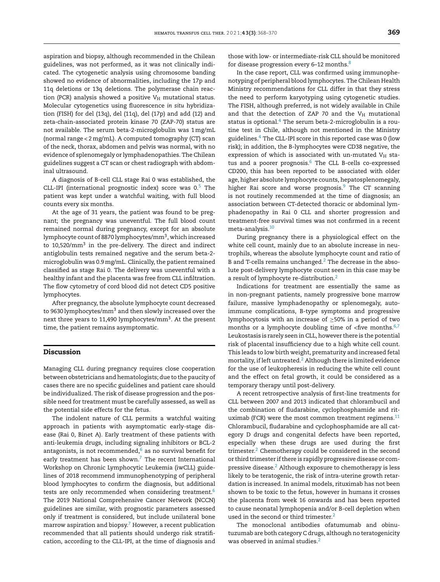aspiration and biopsy, although recommended in the Chilean guidelines, was not performed, as it was not clinically indicated. The cytogenetic analysis using chromosome banding showed no evidence of abnormalities, including the 17p and 11q deletions or 13q deletions. The polymerase chain reaction (PCR) analysis showed a positive  $V_H$  mutational status. Molecular cytogenetics using fluorescence *in situ* hybridization (FISH) for del (13q), del (11q), del (17p) and add (12) and zeta-chain-associated protein kinase 70 (ZAP-70) status are not available. The serum beta-2-microglobulin was 1 mg/mL (normal range < 2 mg/mL). A computed tomography (CT) scan of the neck, thorax, abdomen and pelvis was normal, with no evidence of splenomegaly or lymphadenopathies. The Chilean guidelines suggest a CT scan or chest radiograph with abdominal ultrasound.

A diagnosis of B-cell CLL stage Rai 0 was established, the CLL-IPI (international prognostic index) score was  $0.5$  $0.5$  The patient was kept under a watchful waiting, with full blood counts every six months.

At the age of 31 years, the patient was found to be pregnant; the pregnancy was uneventful. The full blood count remained normal during pregnancy, except for an absolute lymphocyte count of 8870 lymphocytes/mm<sup>3</sup>, which increased to 10,520/mm<sup>3</sup> in the pre-delivery. The direct and indirect antiglobulin tests remained negative and the serum beta-2 microglobulin was 0.9mg/mL. Clinically, the patient remained classified as stage Rai 0. The delivery was uneventful with a healthy infant and the placenta was free from CLL infiltration. The flow cytometry of cord blood did not detect CD5 positive lymphocytes.

After pregnancy, the absolute lymphocyte count decreased to 9630 lymphocytes/mm<sup>3</sup> and then slowly increased over the next three years to 11,490 lymphocytes/mm<sup>3</sup>. At the present time, the patient remains asymptomatic.

#### Discussion

Managing CLL during pregnancy requires close cooperation between obstetricians and hematologists; due to the paucity of cases there are no specific guidelines and patient care should be individualized. The risk of disease progression and the possible need for treatment must be carefully assessed, as well as the potential side effects for the fetus.

The indolent nature of CLL permits a watchful waiting approach in patients with asymptomatic early-stage disease (Rai 0, Binet A). Early treatment of these patients with anti-leukemia drugs, including signaling inhibitors or BCL-2 antagonists, is not recommended, $6$  as no survival benefit for early treatment has been shown. $7$  The recent International Workshop on Chronic Lymphocytic Leukemia (iwCLL) guidelines of 2018 recommend immunophenotyping of peripheral blood lymphocytes to confirm the diagnosis, but additional tests are only recommended when considering treatment.<sup>[6](#page-2-0)</sup> The 2019 National Comprehensive Cancer Network (NCCN) guidelines are similar, with prognostic parameters assessed only if treatment is considered, but include unilateral bone marrow aspiration and biopsy. $7$  However, a recent publication recommended that all patients should undergo risk stratification, according to the CLL-IPI, at the time of diagnosis and

those with low- or intermediate-risk CLL should be monitored for disease progression every 6–12 months. $8$ 

In the case report, CLL was confirmed using immunophenotyping of peripheral blood lymphocytes. The Chilean Health Ministry recommendations for CLL differ in that they stress the need to perform karyotyping using cytogenetic studies. The FISH, although preferred, is not widely available in Chile and that the detection of ZAP 70 and the  $V_H$  mutational status is optional. $4$  The serum beta-2-microglobulin is a routine test in Chile, although not mentioned in the Ministry guidelines.[4](#page-2-0) The CLL-IPI score in this reported case was 0 (low risk); in addition, the B-lymphocytes were CD38 negative, the expression of which is associated with un-mutated  $V_H$  sta-tus and a poorer prognosis.<sup>[6](#page-2-0)</sup> The CLL B-cells co-expressed CD200, this has been reported to be associated with older age, higher absolute lymphocyte counts, hepatosplenomegaly, higher Rai score and worse prognosis. $9$  The CT scanning is not routinely recommended at the time of diagnosis; an association between CT-detected thoracic or abdominal lymphadenopathy in Rai 0 CLL and shorter progression and treatment-free survival times was not confirmed in a recent meta-analysis.[10](#page-2-0)

During pregnancy there is a physiological effect on the white cell count, mainly due to an absolute increase in neutrophils, whereas the absolute lymphocyte count and ratio of B and T-cells remains unchanged. $<sup>2</sup>$  $<sup>2</sup>$  $<sup>2</sup>$  The decrease in the abso-</sup> lute post-delivery lymphocyte count seen in this case may be a result of lymphocyte re-distribution.[2](#page-2-0)

Indications for treatment are essentially the same as in non-pregnant patients, namely progressive bone marrow failure, massive lymphadenopathy or splenomegaly, autoimmune complications, B-type symptoms and progressive lymphocytosis with an increase of ≥50% in a period of two months or a lymphocyte doubling time of  $<$ five months.<sup>[6,7](#page-2-0)</sup> Leukostasis is rarely seen inCLL, however there is the potential risk of placental insufficiency due to a high white cell count. This leads to low birth weight, prematurity and increased fetal mortality, if left untreated.<sup>2</sup> [A](#page-2-0)lthough there is limited evidence for the use of leukopheresis in reducing the white cell count and the effect on fetal growth, it could be considered as a temporary therapy until post-delivery.

A recent retrospective analysis of first-line treatments for CLL between 2007 and 2013 indicated that chlorambucil and the combination of fludarabine, cyclophosphamide and rituximab (FCR) were the most common treatment regimens. $11$ Chlorambucil, fludarabine and cyclophosphamide are all category D drugs and congenital defects have been reported, especially when these drugs are used during the first trimester.<sup>[2](#page-2-0)</sup> Chemotherapy could be considered in the second or third trimester if there is rapidly progressive disease or compressive disease.<sup>2</sup> [A](#page-2-0)lthough exposure to chemotherapy is less likely to be teratogenic, the risk of intra-uterine growth retardation is increased. In animal models, rituximab has not been shown to be toxic to the fetus, however in humans it crosses the placenta from week 16 onwards and has been reported to cause neonatal lymphopenia and/or B-cell depletion when used in the second or third trimester.<sup>[2](#page-2-0)</sup>

The monoclonal antibodies ofatumumab and obinutuzumab are both category C drugs, although no teratogenicity was observed in animal studies.<sup>[2](#page-2-0)</sup>